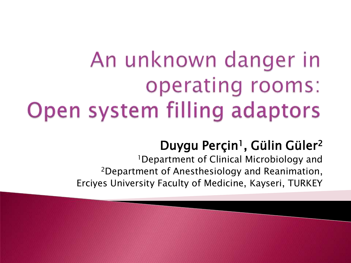# An unknown danger in operating rooms: Open system filling adaptors

#### Duygu Perçin<sup>1</sup>, Gülin Güler<sup>2</sup>

<sup>1</sup>Department of Clinical Microbiology and <sup>2</sup>Department of Anesthesiology and Reanimation, Erciyes University Faculty of Medicine, Kayseri, TURKEY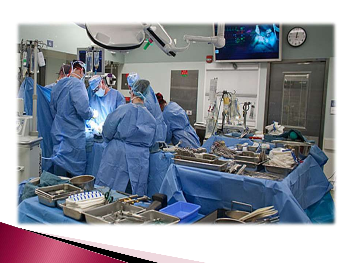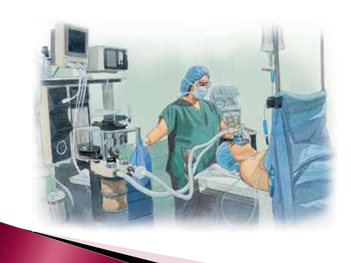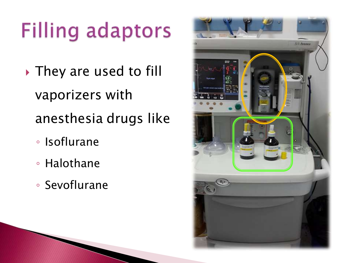# **Filling adaptors**

- ▶ They are used to fill vaporizers with anesthesia drugs like
	- Isoflurane
	- Halothane
	- Sevoflurane

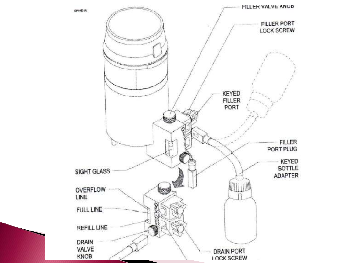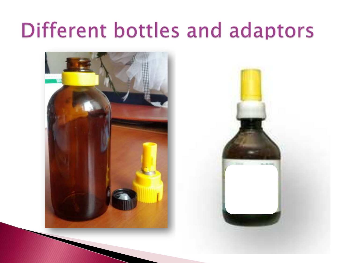#### Different bottles and adaptors



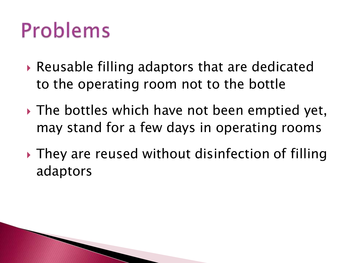### Problems

- Reusable filling adaptors that are dedicated to the operating room not to the bottle
- ▶ The bottles which have not been emptied yet, may stand for a few days in operating rooms
- ▶ They are reused without disinfection of filling adaptors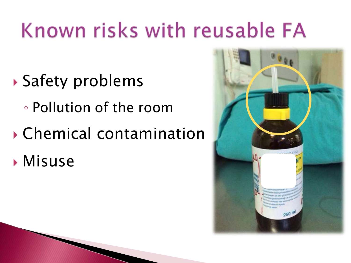# Known risks with reusable FA

- Safety problems
	- Pollution of the room
- Chemical contamination
- Misuse

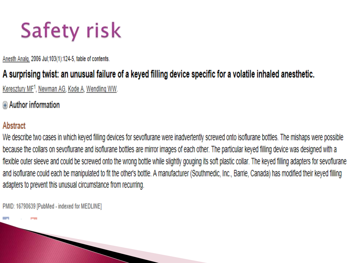## Safety risk

Anesth Analg. 2006 Jul; 103(1): 124-5, table of contents.

#### A surprising twist: an unusual failure of a keyed filling device specific for a volatile inhaled anesthetic.

Keresztury MF<sup>1</sup>, Newman AG, Kode A, Wendling WW.

 $\oplus$  Author information

#### **Abstract**

We describe two cases in which keyed filling devices for sevoflurane were inadvertently screwed onto isoflurane bottles. The mishaps were possible because the collars on sevoflurane and isoflurane bottles are mirror images of each other. The particular keyed filling device was designed with a flexible outer sleeve and could be screwed onto the wrong bottle while slightly gouging its soft plastic collar. The keyed filling adapters for sevoflurane and isoflurane could each be manipulated to fit the other's bottle. A manufacturer (Southmedic, Inc., Barrie, Canada) has modified their keyed filling adapters to prevent this unusual circumstance from recurring.

PMID: 16790639 [PubMed - indexed for MEDLINE]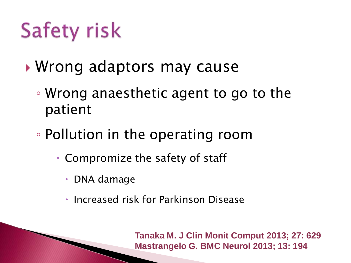# **Safety risk**

- Wrong adaptors may cause
	- Wrong anaesthetic agent to go to the patient
	- Pollution in the operating room
		- Compromize the safety of staff
			- DNA damage
			- Increased risk for Parkinson Disease

**Tanaka M. J Clin Monit Comput 2013; 27: 629 Mastrangelo G. BMC Neurol 2013; 13: 194**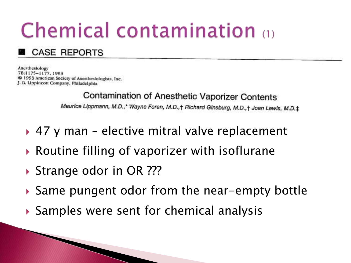### Chemical contamination  $\omega$

#### **CASE REPORTS**

Anesthesiology 78:1175-1177, 1993 @ 1993 American Society of Anesthesiologists, Inc. J. B. Lippincott Company, Philadelphia

#### Contamination of Anesthetic Vaporizer Contents

Maurice Lippmann, M.D.,\* Wayne Foran, M.D.,† Richard Ginsburg, M.D.,† Joan Lewis, M.D.‡

- ▶ 47 y man elective mitral valve replacement
- Routine filling of vaporizer with isoflurane
- Strange odor in OR ???
- ▶ Same pungent odor from the near-empty bottle
- Samples were sent for chemical analysis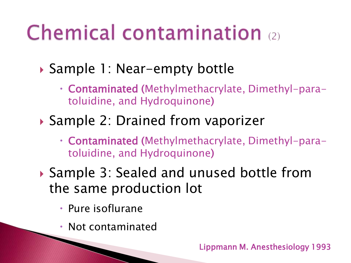### **Chemical contamination** (2)

- ▶ Sample 1: Near-empty bottle
	- Contaminated (Methylmethacrylate, Dimethyl-paratoluidine, and Hydroquinone)
- ▶ Sample 2: Drained from vaporizer
	- Contaminated (Methylmethacrylate, Dimethyl-paratoluidine, and Hydroquinone)
- ▶ Sample 3: Sealed and unused bottle from the same production lot
	- Pure isoflurane

Not contaminated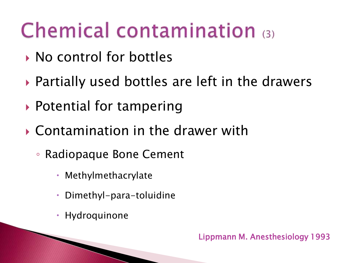#### Chemical contamination (3)

- No control for bottles
- Partially used bottles are left in the drawers
- ▶ Potential for tampering
- Contamination in the drawer with
	- Radiopaque Bone Cement
		- Methylmethacrylate
		- Dimethyl-para-toluidine
		- Hydroquinone

Lippmann M. Anesthesiology 1993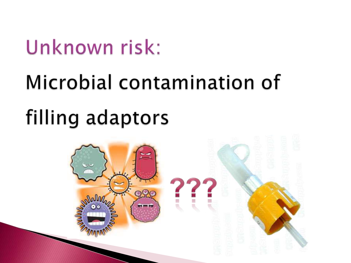#### Unknown risk:

#### Microbial contamination of

# filling adaptors

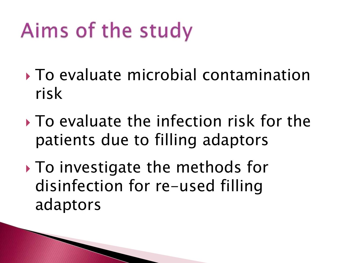# Aims of the study

- $\triangleright$  To evaluate microbial contamination risk
- $\triangleright$  To evaluate the infection risk for the patients due to filling adaptors
- To investigate the methods for disinfection for re-used filling adaptors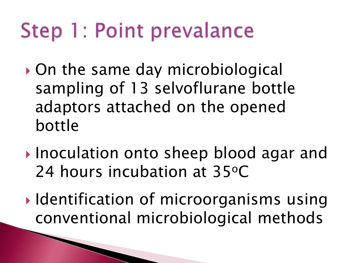### Step 1: Point prevalance

- ▶ On the same day microbiological sampling of 13 selvoflurane bottle adaptors attached on the opened bottle
- ▶ Inoculation onto sheep blood agar and 24 hours incubation at 35 °C
- ▶ Identification of microorganisms using conventional microbiological methods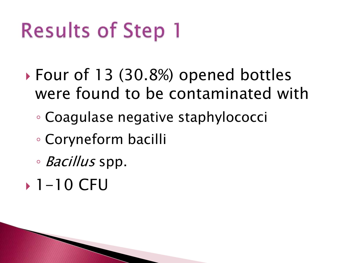# **Results of Step 1**

- Four of 13 (30.8%) opened bottles were found to be contaminated with
	- Coagulase negative staphylococci
	- Coryneform bacilli
	- Bacillus spp.
- $\rightarrow$  1-10 CFU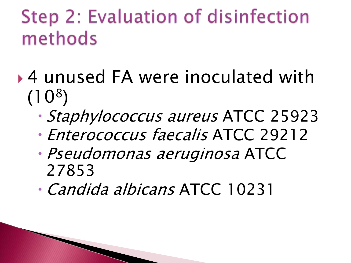#### Step 2: Evaluation of disinfection methods

- ▶ 4 unused FA were inoculated with  $(10<sup>8</sup>)$ 
	- Staphylococcus aureus ATCC 25923
	- Enterococcus faecalis ATCC 29212
	- Pseudomonas aeruginosa ATCC 27853
	- Candida albicans ATCC 10231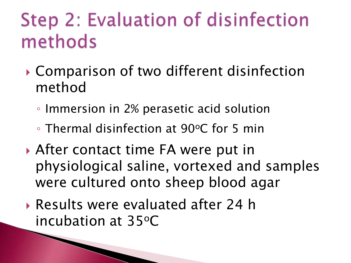#### Step 2: Evaluation of disinfection methods

- Comparison of two different disinfection method
	- Immersion in 2% perasetic acid solution
	- Thermal disinfection at 90<sup>o</sup>C for 5 min
- ▶ After contact time FA were put in physiological saline, vortexed and samples were cultured onto sheep blood agar
- Results were evaluated after 24 h incubation at 35oC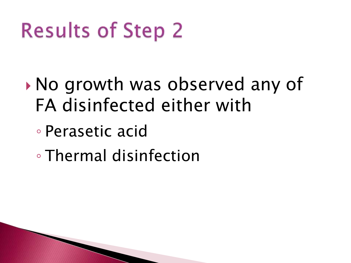# **Results of Step 2**

- No growth was observed any of FA disinfected either with
	- Perasetic acid
	- Thermal disinfection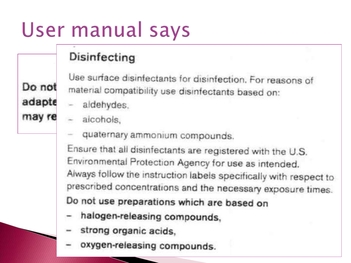#### User manual says

#### Disinfecting

Use surface disinfectants for disinfection. For reasons of material compatibility use disinfectants based on:

- aldehydes.
- aicohols,

Do not

adapte

may re

quaternary ammonium compounds.

Ensure that all disinfectants are registered with the U.S. Environmental Protection Agency for use as intended. Always follow the instruction labels specifically with respect to prescribed concentrations and the necessary exposure times.

Do not use preparations which are based on

- halogen-releasing compounds,
- strong organic acids,
- oxygen-releasing compounds.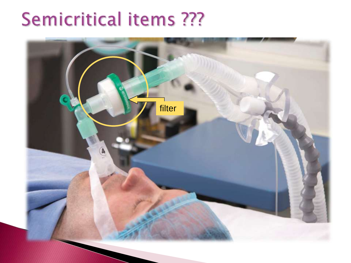#### **Semicritical items ???**

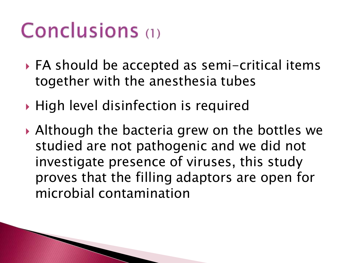#### Conclusions (1)

- ▶ FA should be accepted as semi-critical items together with the anesthesia tubes
- ▶ High level disinfection is required
- Although the bacteria grew on the bottles we studied are not pathogenic and we did not investigate presence of viruses, this study proves that the filling adaptors are open for microbial contamination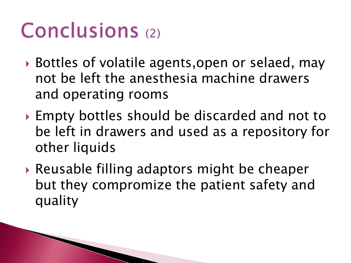#### Conclusions (2)

- Bottles of volatile agents,open or selaed, may not be left the anesthesia machine drawers and operating rooms
- ▶ Empty bottles should be discarded and not to be left in drawers and used as a repository for other liquids
- Reusable filling adaptors might be cheaper but they compromize the patient safety and quality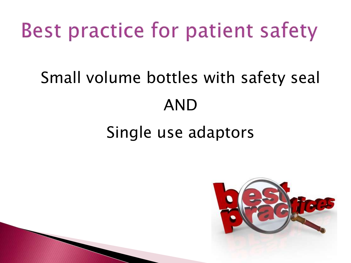### Best practice for patient safety

#### Small volume bottles with safety seal AND

#### Single use adaptors